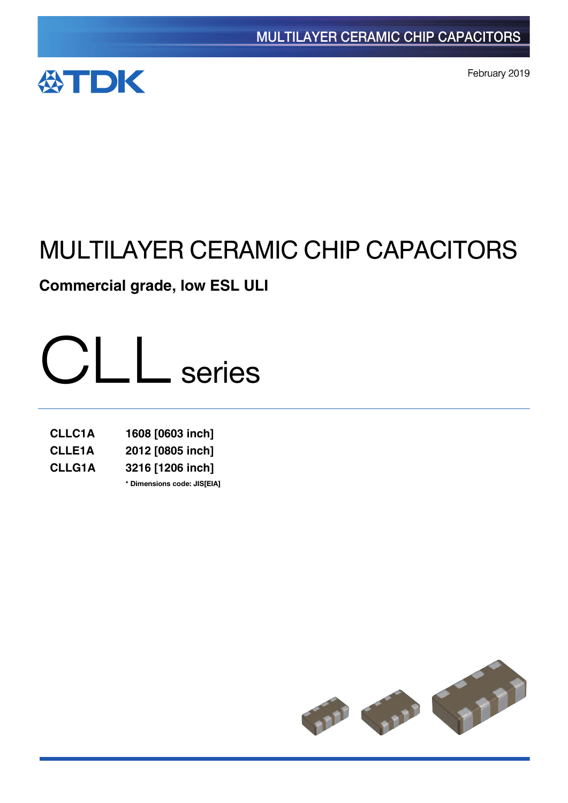

February 2019

# MULTILAYER CERAMIC CHIP CAPACITORS

**Commercial grade, low ESL ULI**



| <b>CLLC1A</b> | 1608 [0603 inch]            |
|---------------|-----------------------------|
| <b>CLLE1A</b> | 2012 [0805 inch]            |
| <b>CLLG1A</b> | 3216 [1206 inch]            |
|               | * Dimensions code: JIS[EIA] |

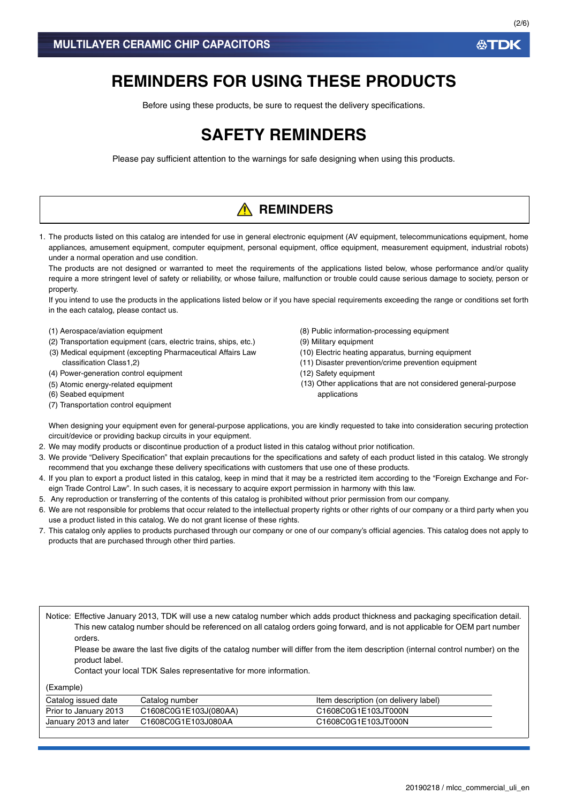# **REMINDERS FOR USING THESE PRODUCTS**

Before using these products, be sure to request the delivery specifications.

# **SAFETY REMINDERS**

Please pay sufficient attention to the warnings for safe designing when using this products.

# **A** REMINDERS

1. The products listed on this catalog are intended for use in general electronic equipment (AV equipment, telecommunications equipment, home appliances, amusement equipment, computer equipment, personal equipment, office equipment, measurement equipment, industrial robots) under a normal operation and use condition.

The products are not designed or warranted to meet the requirements of the applications listed below, whose performance and/or quality require a more stringent level of safety or reliability, or whose failure, malfunction or trouble could cause serious damage to society, person or property.

If you intend to use the products in the applications listed below or if you have special requirements exceeding the range or conditions set forth in the each catalog, please contact us.

- (1) Aerospace/aviation equipment
- (2) Transportation equipment (cars, electric trains, ships, etc.)
- (3) Medical equipment (excepting Pharmaceutical Affairs Law classification Class1,2)
- (4) Power-generation control equipment
- (5) Atomic energy-related equipment
- (6) Seabed equipment
- (7) Transportation control equipment
- (8) Public information-processing equipment
- (9) Military equipment
- (10) Electric heating apparatus, burning equipment
- (11) Disaster prevention/crime prevention equipment
- (12) Safety equipment
- (13) Other applications that are not considered general-purpose applications

When designing your equipment even for general-purpose applications, you are kindly requested to take into consideration securing protection circuit/device or providing backup circuits in your equipment.

- 2. We may modify products or discontinue production of a product listed in this catalog without prior notification.
- 3. We provide "Delivery Specification" that explain precautions for the specifications and safety of each product listed in this catalog. We strongly recommend that you exchange these delivery specifications with customers that use one of these products.
- 4. If you plan to export a product listed in this catalog, keep in mind that it may be a restricted item according to the "Foreign Exchange and Foreign Trade Control Law". In such cases, it is necessary to acquire export permission in harmony with this law.
- 5. Any reproduction or transferring of the contents of this catalog is prohibited without prior permission from our company.
- 6. We are not responsible for problems that occur related to the intellectual property rights or other rights of our company or a third party when you use a product listed in this catalog. We do not grant license of these rights.
- 7. This catalog only applies to products purchased through our company or one of our company's official agencies. This catalog does not apply to products that are purchased through other third parties.

Notice: Effective January 2013, TDK will use a new catalog number which adds product thickness and packaging specification detail. This new catalog number should be referenced on all catalog orders going forward, and is not applicable for OEM part number orders.

Please be aware the last five digits of the catalog number will differ from the item description (internal control number) on the product label.

Contact your local TDK Sales representative for more information.

(Example)

| Catalog issued date    | Catalog number        | Item description (on delivery label) |
|------------------------|-----------------------|--------------------------------------|
| Prior to January 2013  | C1608C0G1E103J(080AA) | C1608C0G1E103JT000N                  |
| January 2013 and later | C1608C0G1E103J080AA   | C1608C0G1E103JT000N                  |

**ATDK**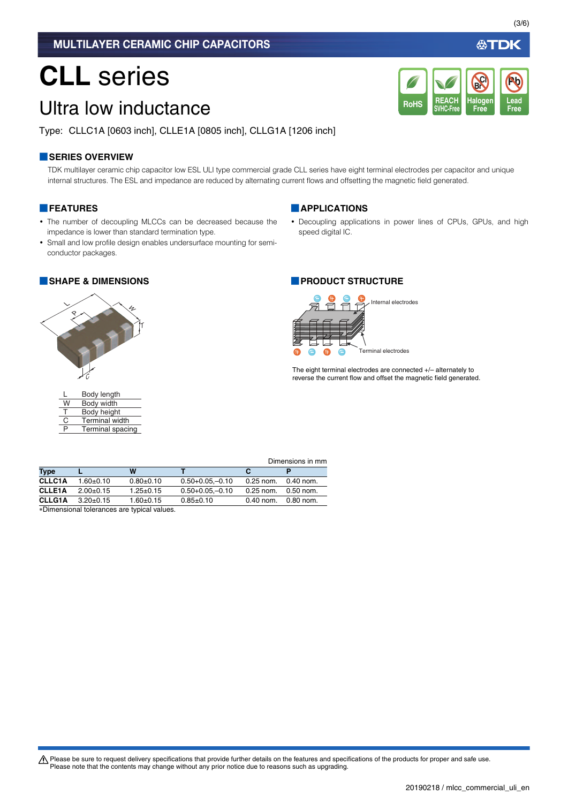# **CLL** series

# Ultra low inductance

Type: CLLC1A [0603 inch], CLLE1A [0805 inch], CLLG1A [1206 inch]

## **■SERIES OVERVIEW**

TDK multilayer ceramic chip capacitor low ESL ULI type commercial grade CLL series have eight terminal electrodes per capacitor and unique internal structures. The ESL and impedance are reduced by alternating current flows and offsetting the magnetic field generated.

### **■FEATURES**

- The number of decoupling MLCCs can be decreased because the impedance is lower than standard termination type.
- Small and low profile design enables undersurface mounting for semiconductor packages.



| L | Body length           |
|---|-----------------------|
| W | Body width            |
| т | Body height           |
| C | <b>Terminal width</b> |
| P | Terminal spacing      |

## **■APPLICATIONS**

• Decoupling applications in power lines of CPUs, GPUs, and high speed digital IC.

**REACH SVHC-Free**

RoHS SVHC-Free Free Free

**Halogen Free**

**Br Cl**

### **■SHAPE & DIMENSIONS ■PRODUCT STRUCTURE**



The eight terminal electrodes are connected +/– alternately to reverse the current flow and offset the magnetic field generated.

|               |                                             |                 |                  |             | Dimensions in mm |
|---------------|---------------------------------------------|-----------------|------------------|-------------|------------------|
| <b>Type</b>   |                                             | W               |                  |             |                  |
| <b>CLLC1A</b> | $1.60 + 0.10$                               | $0.80 + 0.10$   | $0.50+0.05-0.10$ | $0.25$ nom. | 0.40 nom.        |
| <b>CLLE1A</b> | $2.00+0.15$                                 | $1.25 \pm 0.15$ | $0.50+0.05-0.10$ | $0.25$ nom. | 0.50 nom.        |
| <b>CLLG1A</b> | $3.20+0.15$                                 | $1.60 + 0.15$   | $0.85 + 0.10$    | $0.40$ nom. | 0.80 nom.        |
|               | . Dimensional teleranese ere tunical values |                 |                  |             |                  |

Dimensional tolerances are typical values.

公TDK

**Lead**

**Pb**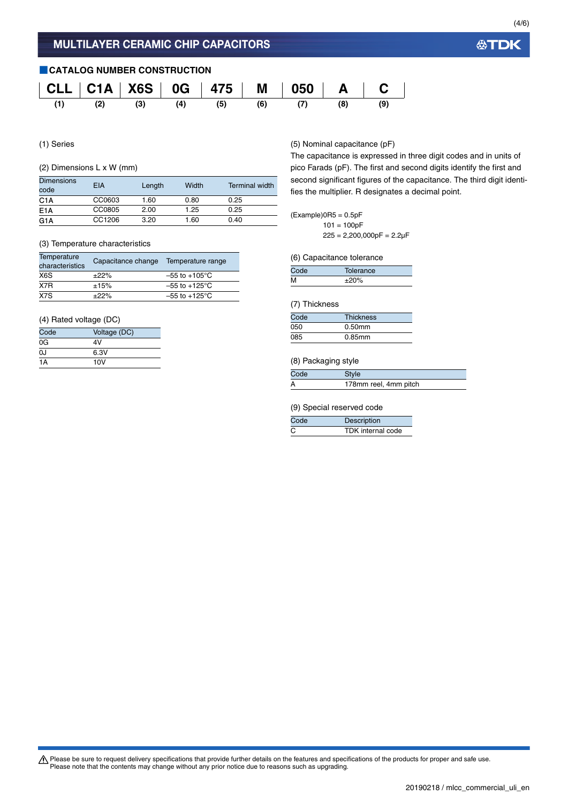# **■CATALOG NUMBER CONSTRUCTION CLL C1A X6S 0G 475 M 050 A C (1) (2) (3) (4) (5) (6) (7) (8) (9)**

(1) Series

### (2) Dimensions L x W (mm)

| <b>Dimensions</b><br>code | EIA    | Length | Width | Terminal width |
|---------------------------|--------|--------|-------|----------------|
| C1A                       | CC0603 | 1.60   | 0.80  | 0.25           |
| E <sub>1</sub> A          | CC0805 | 2.00   | 1.25  | 0.25           |
| G <sub>1</sub> A          | CC1206 | 3.20   | 1.60  | 0.40           |

#### (3) Temperature characteristics

| <b>Temperature</b><br>characteristics | Capacitance change | Temperature range         |
|---------------------------------------|--------------------|---------------------------|
| X6S                                   | ±22%               | $-55$ to $+105^{\circ}$ C |
| X7R                                   | ±15%               | $-55$ to $+125^{\circ}$ C |
| X7S                                   | $+22%$             | $-55$ to $+125^{\circ}$ C |

### (4) Rated voltage (DC)

| Code | Voltage (DC) |
|------|--------------|
| 0G   | 4V           |
| 0J   | 6.3V         |
| 1A   | 10V          |

(5) Nominal capacitance (pF)

The capacitance is expressed in three digit codes and in units of pico Farads (pF). The first and second digits identify the first and second significant figures of the capacitance. The third digit identifies the multiplier. R designates a decimal point.

### $(Example)$ OR5 = 0.5pF  $101 = 100pF$

 $225 = 2,200,000pF = 2.2\mu F$ 

#### (6) Capacitance tolerance

| Code | Tolerance |  |
|------|-----------|--|
| м    | $±20\%$   |  |

#### (7) Thickness

| Code | <b>Thickness</b> |
|------|------------------|
| 050  | $0.50$ mm        |
| 085  | $0.85$ mm        |

#### (8) Packaging style

| Code | Style                 |
|------|-----------------------|
|      | 178mm reel, 4mm pitch |

#### (9) Special reserved code

| Code | Description       |
|------|-------------------|
|      | TDK internal code |

Please be sure to request delivery specifications that provide further details on the features and specifications of the products for proper and safe use.<br>Please note that the contents may change without any prior notice d

# **公TDK**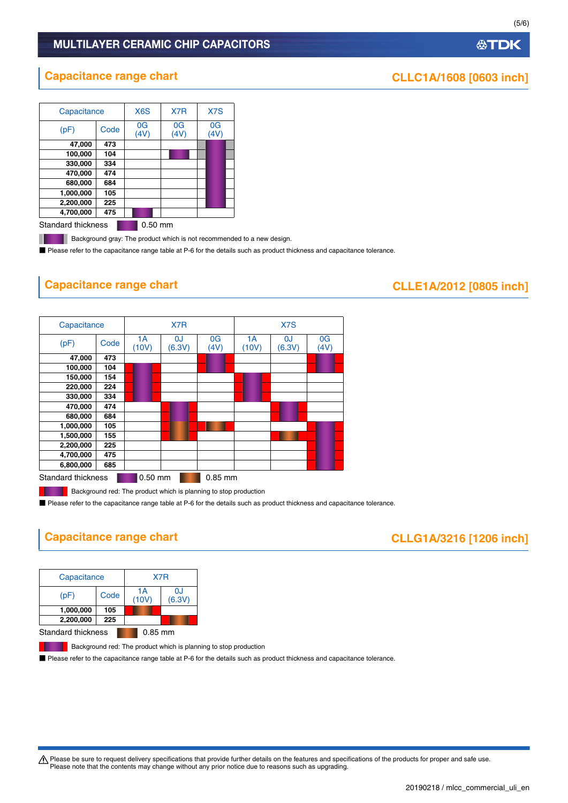## MULTILAYER CERAMIC CHIP CAPACITORS

| Capacitance |      | X <sub>6</sub> S | X7R                    | X7S                    |
|-------------|------|------------------|------------------------|------------------------|
| (pF)        | Code | 0G<br>(4V)       | 0 <sub>G</sub><br>(4V) | 0 <sub>G</sub><br>(4V) |
| 47,000      | 473  |                  |                        |                        |
| 100,000     | 104  |                  |                        |                        |
| 330,000     | 334  |                  |                        |                        |
| 470,000     | 474  |                  |                        |                        |
| 680,000     | 684  |                  |                        |                        |
| 1,000,000   | 105  |                  |                        |                        |
| 2,200,000   | 225  |                  |                        |                        |
| 4,700,000   | 475  |                  |                        |                        |
|             |      |                  |                        |                        |

Standard thickness **0.50 mm** 

.

Background gray: The product which is not recommended to a new design.

■ Please refer to the capacitance range table at P-6 for the details such as product thickness and capacitance tolerance.

# **Capacitance range chart CLLE1A/2012 [0805 inch]**

#### Standard thickness **0.50 mm** 0.85 mm Capacitance **X7R** X7S  $(pF)$   $\bigcup_{(10)}$   $\bigcup_{(10)}$ (10V) 0J (6.3V) 0G (4V) 1A (10V)  $\Omega$ (6.3V) 0G (4V) **47,000 473 100,000 104 150,000 154 220,000 224 330,000 334 470,000 474 680,000 684 1,000,000 105 1,500,000 155 2,200,000 225 4,700,000 475 6,800,000 685**

Background red: The product which is planning to stop production

■ Please refer to the capacitance range table at P-6 for the details such as product thickness and capacitance tolerance.

# **Capacitance range chart CLLG1A/3216 [1206 inch]**

| Capacitance                            |      | X7R         |              |  |
|----------------------------------------|------|-------------|--------------|--|
| (pF)                                   | Code | 1А<br>(10V) | 0J<br>(6.3V) |  |
| 1,000,000                              | 105  |             |              |  |
| 2,200,000                              | 225  |             |              |  |
| <b>Standard thickness</b><br>$0.85$ mm |      |             |              |  |

**Background red: The product which is planning to stop production** 

■ Please refer to the capacitance range table at P-6 for the details such as product thickness and capacitance tolerance.

t Please be sure to request delivery specifications that provide further details on the features and specifications of the products for proper and safe use. Please note that the contents may change without any prior notice due to reasons such as upgrading.

**公TDK** 

# **Capacitance range chart CLLC1A/1608 [0603 inch]**